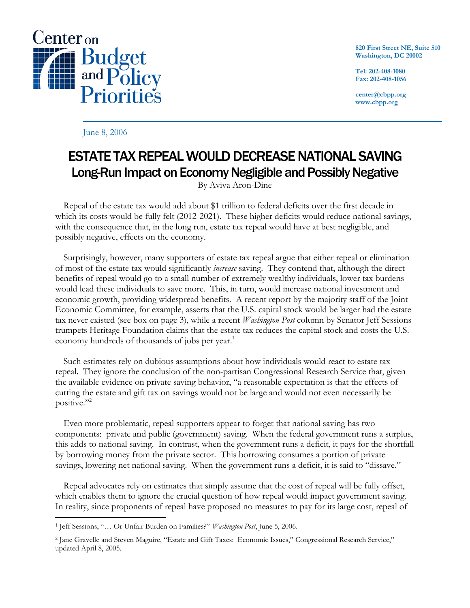

**820 First Street NE, Suite 510 Washington, DC 20002** 

**Tel: 202-408-1080 Fax: 202-408-1056** 

**center@cbpp.org www.cbpp.org** 

June 8, 2006

## ESTATE TAX REPEAL WOULD DECREASE NATIONAL SAVING Long-Run Impact on Economy Negligible and Possibly Negative

By Aviva Aron-Dine

 Repeal of the estate tax would add about \$1 trillion to federal deficits over the first decade in which its costs would be fully felt (2012-2021). These higher deficits would reduce national savings, with the consequence that, in the long run, estate tax repeal would have at best negligible, and possibly negative, effects on the economy.

 Surprisingly, however, many supporters of estate tax repeal argue that either repeal or elimination of most of the estate tax would significantly *increase* saving. They contend that, although the direct benefits of repeal would go to a small number of extremely wealthy individuals, lower tax burdens would lead these individuals to save more. This, in turn, would increase national investment and economic growth, providing widespread benefits. A recent report by the majority staff of the Joint Economic Committee, for example, asserts that the U.S. capital stock would be larger had the estate tax never existed (see box on page 3), while a recent *Washington Post* column by Senator Jeff Sessions trumpets Heritage Foundation claims that the estate tax reduces the capital stock and costs the U.S. economy hundreds of thousands of jobs per year.<sup>1</sup>

 Such estimates rely on dubious assumptions about how individuals would react to estate tax repeal. They ignore the conclusion of the non-partisan Congressional Research Service that, given the available evidence on private saving behavior, "a reasonable expectation is that the effects of cutting the estate and gift tax on savings would not be large and would not even necessarily be positive."<sup>2</sup>

 Even more problematic, repeal supporters appear to forget that national saving has two components: private and public (government) saving. When the federal government runs a surplus, this adds to national saving. In contrast, when the government runs a deficit, it pays for the shortfall by borrowing money from the private sector. This borrowing consumes a portion of private savings, lowering net national saving. When the government runs a deficit, it is said to "dissave."

 Repeal advocates rely on estimates that simply assume that the cost of repeal will be fully offset, which enables them to ignore the crucial question of how repeal would impact government saving. In reality, since proponents of repeal have proposed no measures to pay for its large cost, repeal of

 $\overline{a}$ 1 Jeff Sessions, "… Or Unfair Burden on Families?" *Washington Post*, June 5, 2006.

<sup>2</sup> Jane Gravelle and Steven Maguire, "Estate and Gift Taxes: Economic Issues," Congressional Research Service," updated April 8, 2005.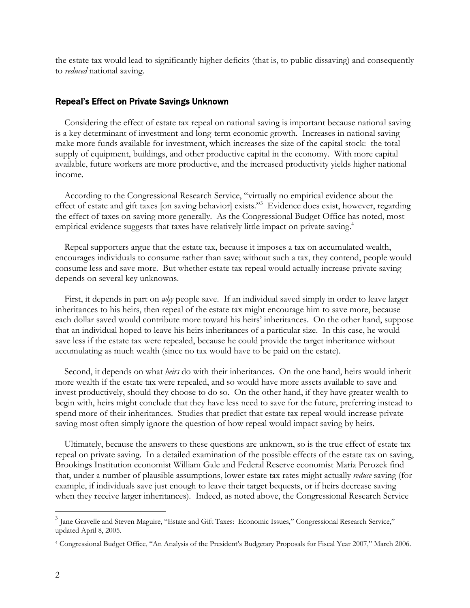the estate tax would lead to significantly higher deficits (that is, to public dissaving) and consequently to *reduced* national saving.

## Repeal's Effect on Private Savings Unknown

Considering the effect of estate tax repeal on national saving is important because national saving is a key determinant of investment and long-term economic growth. Increases in national saving make more funds available for investment, which increases the size of the capital stock: the total supply of equipment, buildings, and other productive capital in the economy. With more capital available, future workers are more productive, and the increased productivity yields higher national income.

According to the Congressional Research Service, "virtually no empirical evidence about the effect of estate and gift taxes [on saving behavior] exists."<sup>3</sup> Evidence does exist, however, regarding the effect of taxes on saving more generally. As the Congressional Budget Office has noted, most empirical evidence suggests that taxes have relatively little impact on private saving.<sup>4</sup>

Repeal supporters argue that the estate tax, because it imposes a tax on accumulated wealth, encourages individuals to consume rather than save; without such a tax, they contend, people would consume less and save more. But whether estate tax repeal would actually increase private saving depends on several key unknowns.

First, it depends in part on *why* people save. If an individual saved simply in order to leave larger inheritances to his heirs, then repeal of the estate tax might encourage him to save more, because each dollar saved would contribute more toward his heirs' inheritances. On the other hand, suppose that an individual hoped to leave his heirs inheritances of a particular size. In this case, he would save less if the estate tax were repealed, because he could provide the target inheritance without accumulating as much wealth (since no tax would have to be paid on the estate).

Second, it depends on what *heirs* do with their inheritances. On the one hand, heirs would inherit more wealth if the estate tax were repealed, and so would have more assets available to save and invest productively, should they choose to do so. On the other hand, if they have greater wealth to begin with, heirs might conclude that they have less need to save for the future, preferring instead to spend more of their inheritances. Studies that predict that estate tax repeal would increase private saving most often simply ignore the question of how repeal would impact saving by heirs.

Ultimately, because the answers to these questions are unknown, so is the true effect of estate tax repeal on private saving. In a detailed examination of the possible effects of the estate tax on saving, Brookings Institution economist William Gale and Federal Reserve economist Maria Perozek find that, under a number of plausible assumptions, lower estate tax rates might actually *reduce* saving (for example, if individuals save just enough to leave their target bequests, or if heirs decrease saving when they receive larger inheritances). Indeed, as noted above, the Congressional Research Service

 $\overline{a}$ 

<sup>&</sup>lt;sup>3</sup> Jane Gravelle and Steven Maguire, "Estate and Gift Taxes: Economic Issues," Congressional Research Service," updated April 8, 2005.

<sup>4</sup> Congressional Budget Office, "An Analysis of the President's Budgetary Proposals for Fiscal Year 2007," March 2006.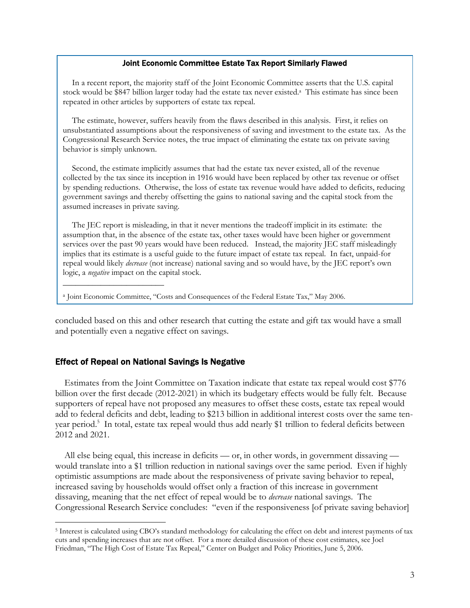## Joint Economic Committee Estate Tax Report Similarly Flawed

In a recent report, the majority staff of the Joint Economic Committee asserts that the U.S. capital stock would be \$847 billion larger today had the estate tax never existed.<sup>a</sup> This estimate has since been repeated in other articles by supporters of estate tax repeal.

The estimate, however, suffers heavily from the flaws described in this analysis. First, it relies on unsubstantiated assumptions about the responsiveness of saving and investment to the estate tax. As the Congressional Research Service notes, the true impact of eliminating the estate tax on private saving behavior is simply unknown.

Second, the estimate implicitly assumes that had the estate tax never existed, all of the revenue collected by the tax since its inception in 1916 would have been replaced by other tax revenue or offset by spending reductions. Otherwise, the loss of estate tax revenue would have added to deficits, reducing government savings and thereby offsetting the gains to national saving and the capital stock from the assumed increases in private saving.

The JEC report is misleading, in that it never mentions the tradeoff implicit in its estimate: the assumption that, in the absence of the estate tax, other taxes would have been higher or government services over the past 90 years would have been reduced. Instead, the majority JEC staff misleadingly implies that its estimate is a useful guide to the future impact of estate tax repeal. In fact, unpaid-for repeal would likely *decrease* (not increase) national saving and so would have, by the JEC report's own logic, a *negative* impact on the capital stock.

<sup>a</sup> Joint Economic Committee, "Costs and Consequences of the Federal Estate Tax," May 2006.

concluded based on this and other research that cutting the estate and gift tax would have a small and potentially even a negative effect on savings.

## Effect of Repeal on National Savings Is Negative

\_\_\_\_\_\_\_\_\_\_\_\_\_\_\_\_\_\_\_\_\_\_\_\_

-

Estimates from the Joint Committee on Taxation indicate that estate tax repeal would cost \$776 billion over the first decade (2012-2021) in which its budgetary effects would be fully felt. Because supporters of repeal have not proposed any measures to offset these costs, estate tax repeal would add to federal deficits and debt, leading to \$213 billion in additional interest costs over the same tenyear period.<sup>5</sup> In total, estate tax repeal would thus add nearly \$1 trillion to federal deficits between 2012 and 2021.

All else being equal, this increase in deficits — or, in other words, in government dissaving would translate into a \$1 trillion reduction in national savings over the same period. Even if highly optimistic assumptions are made about the responsiveness of private saving behavior to repeal, increased saving by households would offset only a fraction of this increase in government dissaving, meaning that the net effect of repeal would be to *decrease* national savings. The Congressional Research Service concludes: "even if the responsiveness [of private saving behavior]

<sup>5</sup> Interest is calculated using CBO's standard methodology for calculating the effect on debt and interest payments of tax cuts and spending increases that are not offset. For a more detailed discussion of these cost estimates, see Joel Friedman, "The High Cost of Estate Tax Repeal," Center on Budget and Policy Priorities, June 5, 2006.